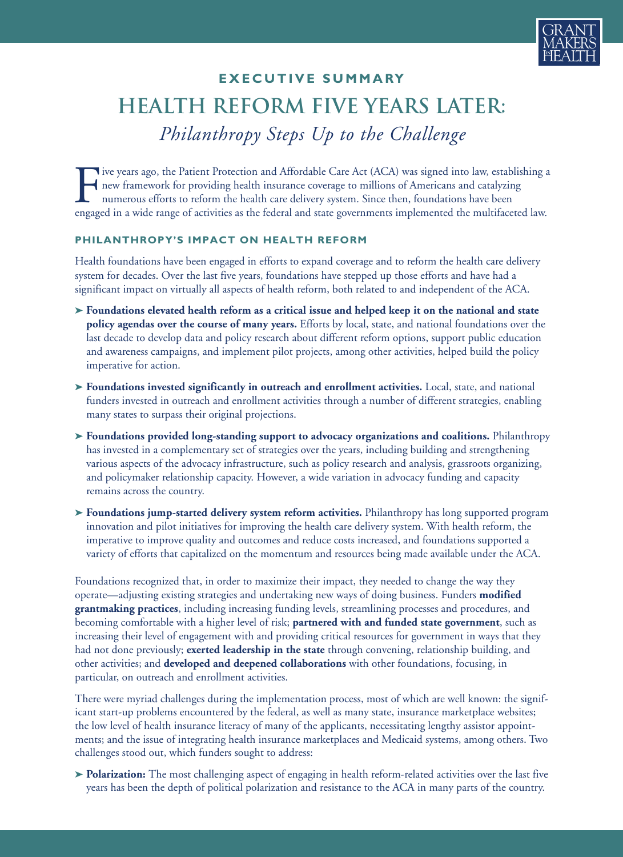

## **E X E C U T I V E S U M M A RY** *Philanthropy Steps Up to the Challenge* **Health Reform Five Years Later:**

Five years ago, the Patient Protection and Affordable Care Act (ACA) was signed into law, establishing a new framework for providing health insurance coverage to millions of Americans and catalyzing numerous efforts to ref new framework for providing health insurance coverage to millions of Americans and catalyzing numerous efforts to reform the health care delivery system. Since then, foundations have been engaged in a wide range of activities as the federal and state governments implemented the multifaceted law.

## **PHILANTHROPY'S IMPACT ON HEALTH REFORM**

Health foundations have been engaged in efforts to expand coverage and to reform the health care delivery system for decades. Over the last five years, foundations have stepped up those efforts and have had a significant impact on virtually all aspects of health reform, both related to and independent of the ACA.

- > Foundations elevated health reform as a critical issue and helped keep it on the national and state **policy agendas over the course of many years.** Efforts by local, state, and national foundations over the last decade to develop data and policy research about different reform options, support public education and awareness campaigns, and implement pilot projects, among other activities, helped build the policy imperative for action.
- **➤ Foundations invested significantly in outreach and enrollment activities.** Local, state, and national funders invested in outreach and enrollment activities through a number of different strategies, enabling many states to surpass their original projections.
- **➤ Foundations provided long-standing support to advocacy organizations and coalitions.** Philanthropy has invested in a complementary set of strategies over the years, including building and strengthening various aspects of the advocacy infrastructure, such as policy research and analysis, grassroots organizing, and policymaker relationship capacity. However, a wide variation in advocacy funding and capacity remains across the country.
- **➤ Foundations jump-started delivery system reform activities.** Philanthropy has long supported program innovation and pilot initiatives for improving the health care delivery system. With health reform, the imperative to improve quality and outcomes and reduce costs increased, and foundations supported a variety of efforts that capitalized on the momentum and resources being made available under the ACA.

Foundations recognized that, in order to maximize their impact, they needed to change the way they operate—adjusting existing strategies and undertaking new ways of doing business. Funders **modified grantmaking practices**, including increasing funding levels, streamlining processes and procedures, and becoming comfortable with a higher level of risk; **partnered with and funded state government**, such as increasing their level of engagement with and providing critical resources for government in ways that they had not done previously; **exerted leadership in the state** through convening, relationship building, and other activities; and **developed and deepened collaborations** with other foundations, focusing, in particular, on outreach and enrollment activities.

There were myriad challenges during the implementation process, most of which are well known: the significant start-up problems encountered by the federal, as well as many state, insurance marketplace websites; the low level of health insurance literacy of many of the applicants, necessitating lengthy assistor appointments; and the issue of integrating health insurance marketplaces and Medicaid systems, among others. Two challenges stood out, which funders sought to address:

**➤ Polarization:** The most challenging aspect of engaging in health reform-related activities over the last five years has been the depth of political polarization and resistance to the ACA in many parts of the country.